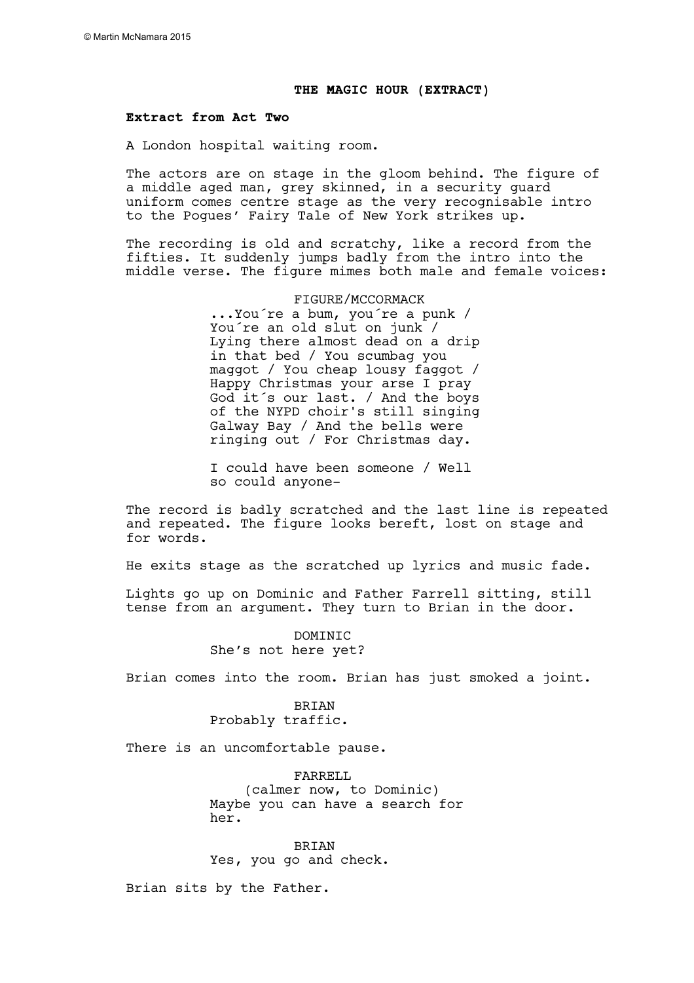#### **THE MAGIC HOUR (EXTRACT)**

#### **Extract from Act Two**

A London hospital waiting room.

The actors are on stage in the gloom behind. The figure of a middle aged man, grey skinned, in a security guard uniform comes centre stage as the very recognisable intro to the Pogues' Fairy Tale of New York strikes up.

The recording is old and scratchy, like a record from the fifties. It suddenly jumps badly from the intro into the middle verse. The figure mimes both male and female voices:

> FIGURE/MCCORMACK ...You´re a bum, you´re a punk / You´re an old slut on junk / Lying there almost dead on a drip in that bed / You scumbag you maggot / You cheap lousy faggot / Happy Christmas your arse I pray God it´s our last. / And the boys of the NYPD choir's still singing Galway Bay / And the bells were ringing out / For Christmas day.

I could have been someone / Well so could anyone-

The record is badly scratched and the last line is repeated and repeated. The figure looks bereft, lost on stage and for words.

He exits stage as the scratched up lyrics and music fade.

Lights go up on Dominic and Father Farrell sitting, still tense from an argument. They turn to Brian in the door.

> **DOMINIC** She's not here yet?

Brian comes into the room. Brian has just smoked a joint.

# BRIAN

Probably traffic.

There is an uncomfortable pause.

FARRELL<sub>I</sub> (calmer now, to Dominic) Maybe you can have a search for her.

**BRIAN** Yes, you go and check.

Brian sits by the Father.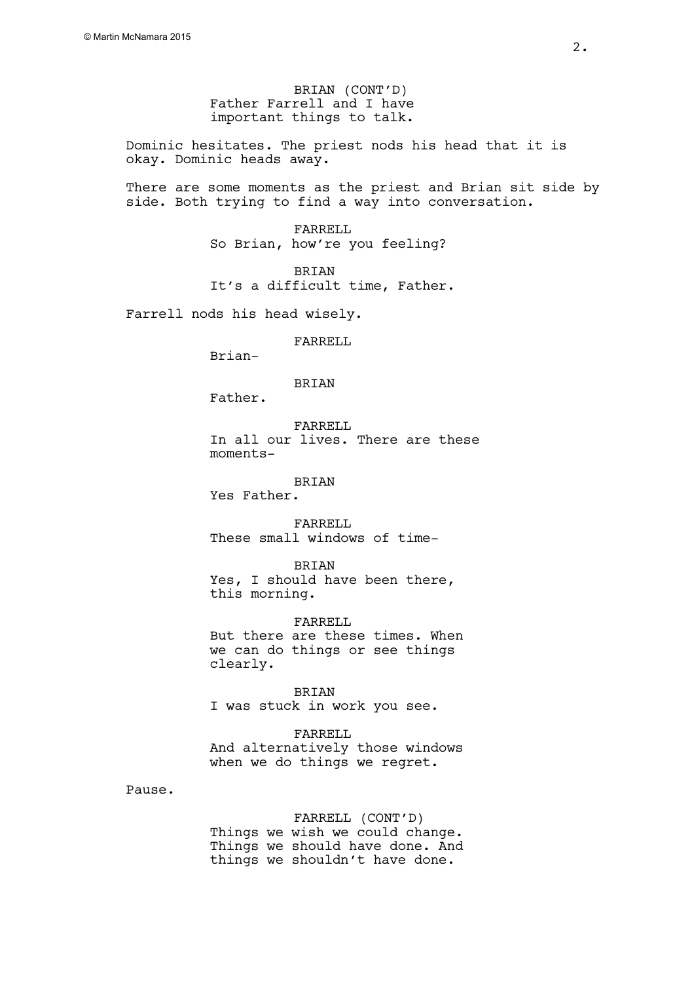BRIAN (CONT'D) Father Farrell and I have important things to talk.

Dominic hesitates. The priest nods his head that it is okay. Dominic heads away.

There are some moments as the priest and Brian sit side by side. Both trying to find a way into conversation.

> FARRELL So Brian, how're you feeling?

BRIAN It's a difficult time, Father.

Farrell nods his head wisely.

FARRELL

Brian-

BRIAN

Father.

FARRELL

In all our lives. There are these moments-

BRIAN

Yes Father.

FARRELL These small windows of time-

BRIAN

Yes, I should have been there, this morning.

FARRELL But there are these times. When we can do things or see things clearly.

BRIAN I was stuck in work you see.

FARRELL And alternatively those windows when we do things we regret.

Pause.

FARRELL (CONT'D) Things we wish we could change. Things we should have done. And things we shouldn't have done.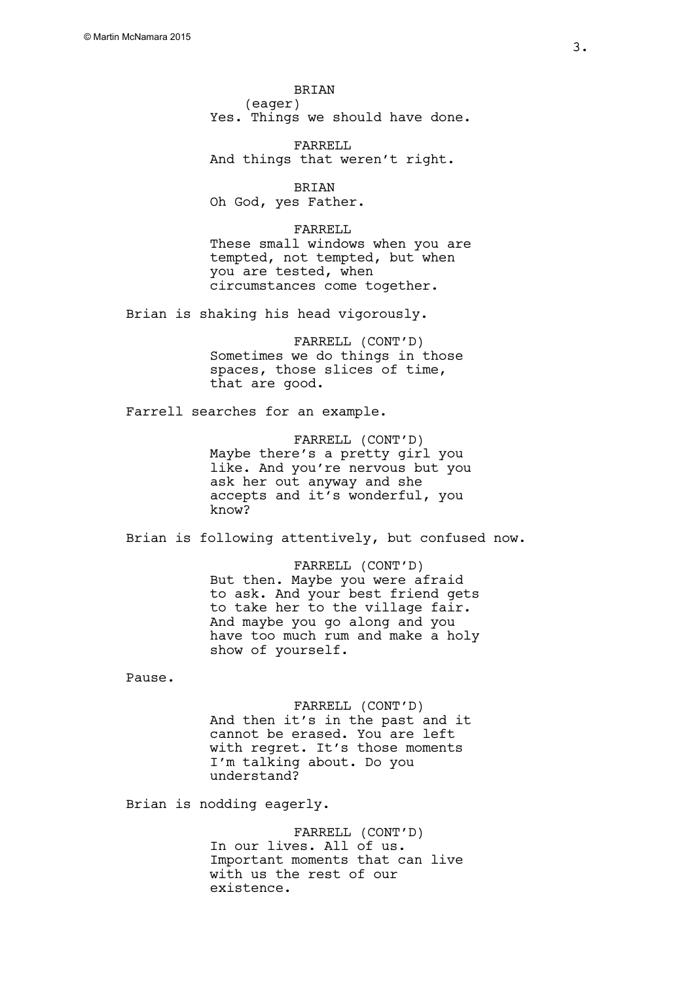BRIAN (eager) Yes. Things we should have done.

FARRELL And things that weren't right.

BRIAN Oh God, yes Father.

FARRELL These small windows when you are tempted, not tempted, but when you are tested, when circumstances come together.

Brian is shaking his head vigorously.

FARRELL (CONT'D) Sometimes we do things in those spaces, those slices of time, that are good.

Farrell searches for an example.

FARRELL (CONT'D) Maybe there's a pretty girl you like. And you're nervous but you ask her out anyway and she accepts and it's wonderful, you know?

Brian is following attentively, but confused now.

FARRELL (CONT'D) But then. Maybe you were afraid to ask. And your best friend gets to take her to the village fair. And maybe you go along and you have too much rum and make a holy show of yourself.

Pause.

FARRELL (CONT'D) And then it's in the past and it cannot be erased. You are left with regret. It's those moments I'm talking about. Do you understand?

Brian is nodding eagerly.

FARRELL (CONT'D) In our lives. All of us. Important moments that can live with us the rest of our existence.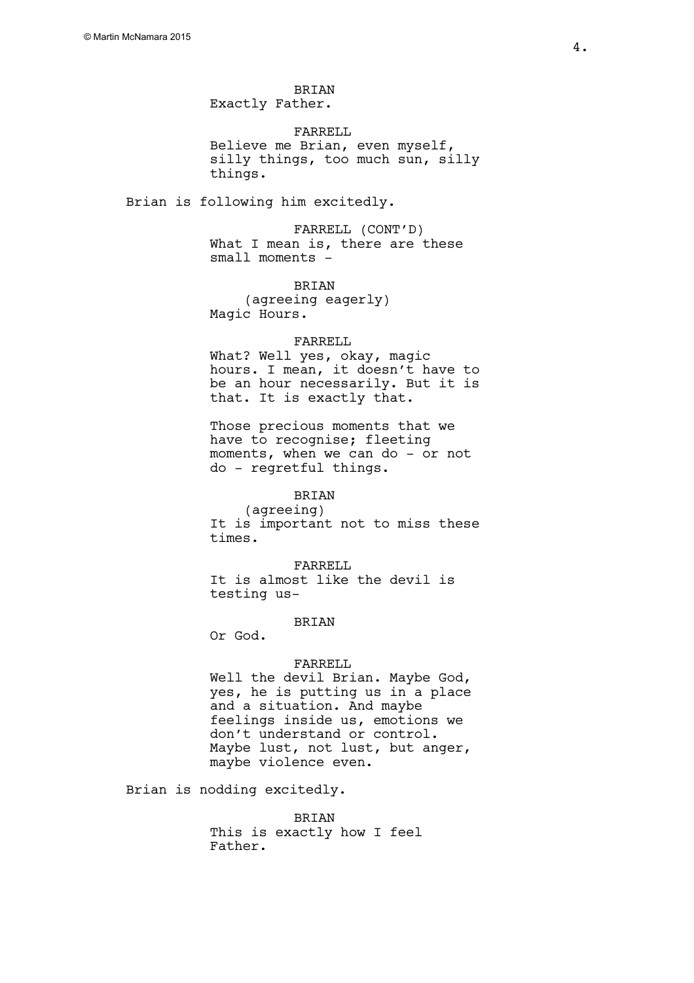BRIAN Exactly Father.

FARRELL Believe me Brian, even myself, silly things, too much sun, silly things.

Brian is following him excitedly.

FARRELL (CONT'D) What I mean is, there are these small moments -

BRIAN (agreeing eagerly) Magic Hours.

#### FARRELL

What? Well yes, okay, magic hours. I mean, it doesn't have to be an hour necessarily. But it is that. It is exactly that.

Those precious moments that we have to recognise; fleeting moments, when we can do - or not do - regretful things.

# BRIAN

(agreeing) It is important not to miss these times.

FARRELL It is almost like the devil is testing us-

#### **BRIAN**

Or God.

#### FARRELL

Well the devil Brian. Maybe God, yes, he is putting us in a place and a situation. And maybe feelings inside us, emotions we don't understand or control. Maybe lust, not lust, but anger, maybe violence even.

Brian is nodding excitedly.

BRIAN This is exactly how I feel Father.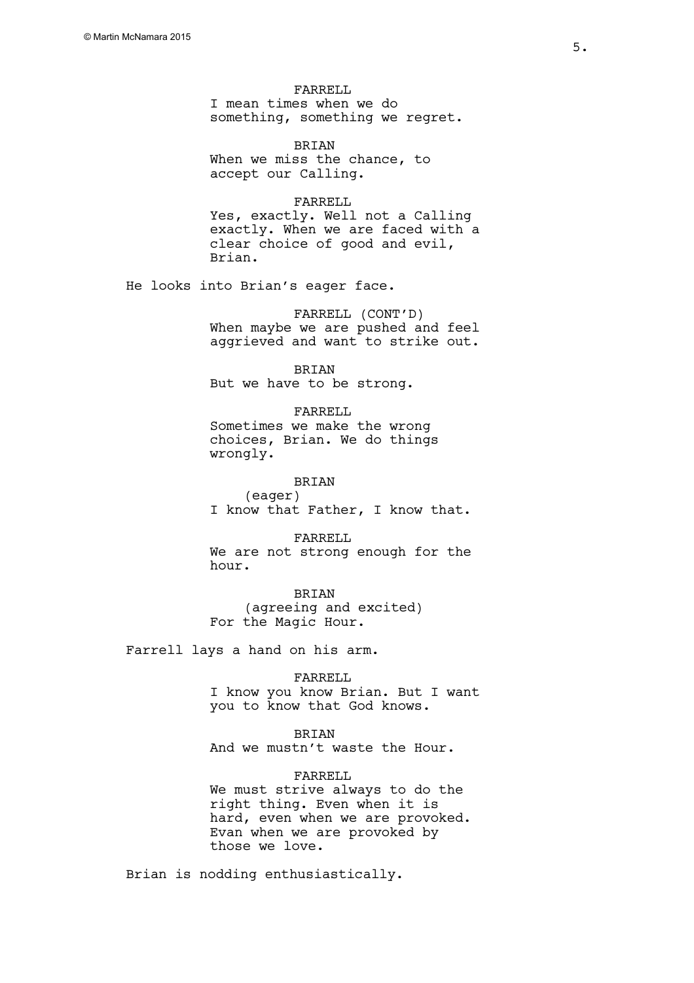FARRELL I mean times when we do something, something we regret.

BRIAN When we miss the chance, to accept our Calling.

FARRELL Yes, exactly. Well not a Calling exactly. When we are faced with a clear choice of good and evil, Brian.

He looks into Brian's eager face.

FARRELL (CONT'D) When maybe we are pushed and feel aggrieved and want to strike out.

BRIAN But we have to be strong.

FARRELL Sometimes we make the wrong choices, Brian. We do things wrongly.

BRIAN (eager) I know that Father, I know that.

FARRELL We are not strong enough for the hour.

BRIAN (agreeing and excited) For the Magic Hour.

Farrell lays a hand on his arm.

FARRELL

I know you know Brian. But I want you to know that God knows.

BRIAN

And we mustn't waste the Hour.

FARRELL

We must strive always to do the right thing. Even when it is hard, even when we are provoked. Evan when we are provoked by those we love.

Brian is nodding enthusiastically.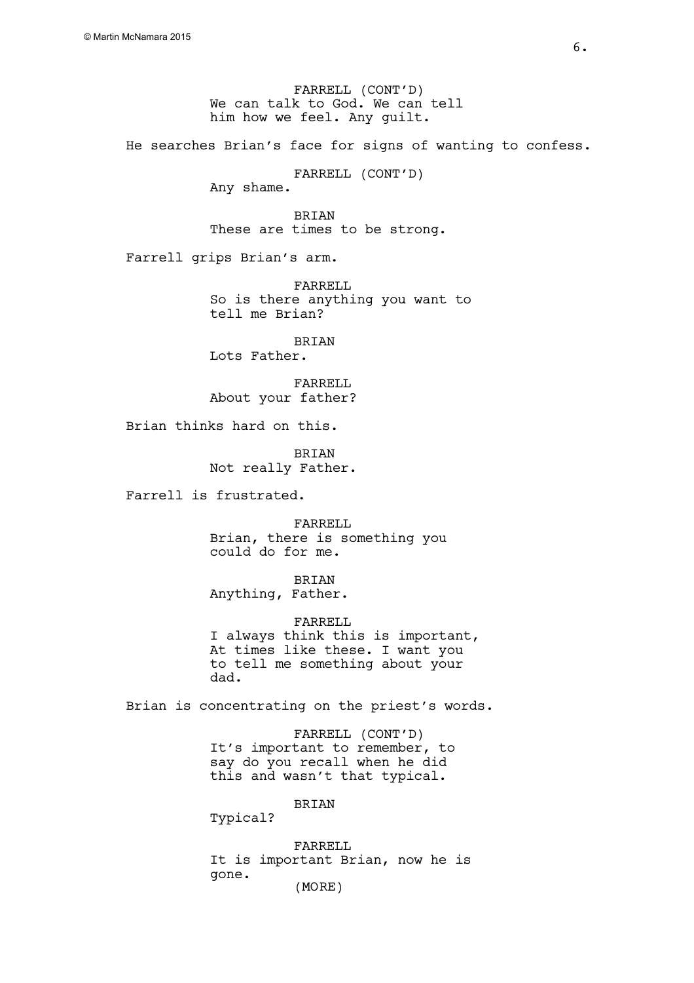FARRELL (CONT'D) We can talk to God. We can tell him how we feel. Any guilt.

He searches Brian's face for signs of wanting to confess.

FARRELL (CONT'D)

Any shame.

BRIAN These are times to be strong.

Farrell grips Brian's arm.

FARRELL So is there anything you want to tell me Brian?

BRIAN Lots Father.

FARRELL About your father?

Brian thinks hard on this.

BRIAN Not really Father.

Farrell is frustrated.

FARRELL Brian, there is something you could do for me.

BRIAN Anything, Father.

FARRELL I always think this is important, At times like these. I want you to tell me something about your dad.

Brian is concentrating on the priest's words.

FARRELL (CONT'D) It's important to remember, to say do you recall when he did this and wasn't that typical.

BRIAN

Typical?

FARRELL It is important Brian, now he is gone. (MORE)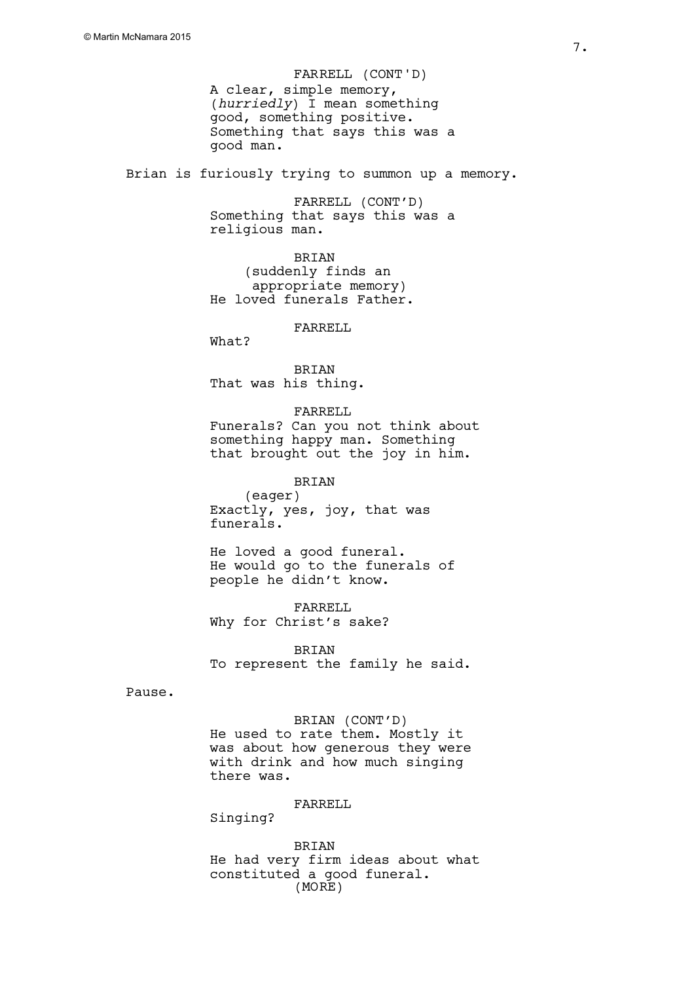A clear, simple memory, (*hurriedly*) I mean something good, something positive. Something that says this was a good man. FARRELL (CONT'D)

Brian is furiously trying to summon up a memory.

FARRELL (CONT'D) Something that says this was a religious man.

BRIAN (suddenly finds an appropriate memory) He loved funerals Father.

FARRELL

What?

BRIAN That was his thing.

FARRELL Funerals? Can you not think about something happy man. Something that brought out the joy in him.

BRIAN (eager) Exactly, yes, joy, that was funerals.

He loved a good funeral. He would go to the funerals of people he didn't know.

FARRELL Why for Christ's sake?

BRIAN To represent the family he said.

Pause.

# BRIAN (CONT'D)

He used to rate them. Mostly it was about how generous they were with drink and how much singing there was.

FARRELL

Singing?

**BRIAN** He had very firm ideas about what constituted a good funeral. (MORE)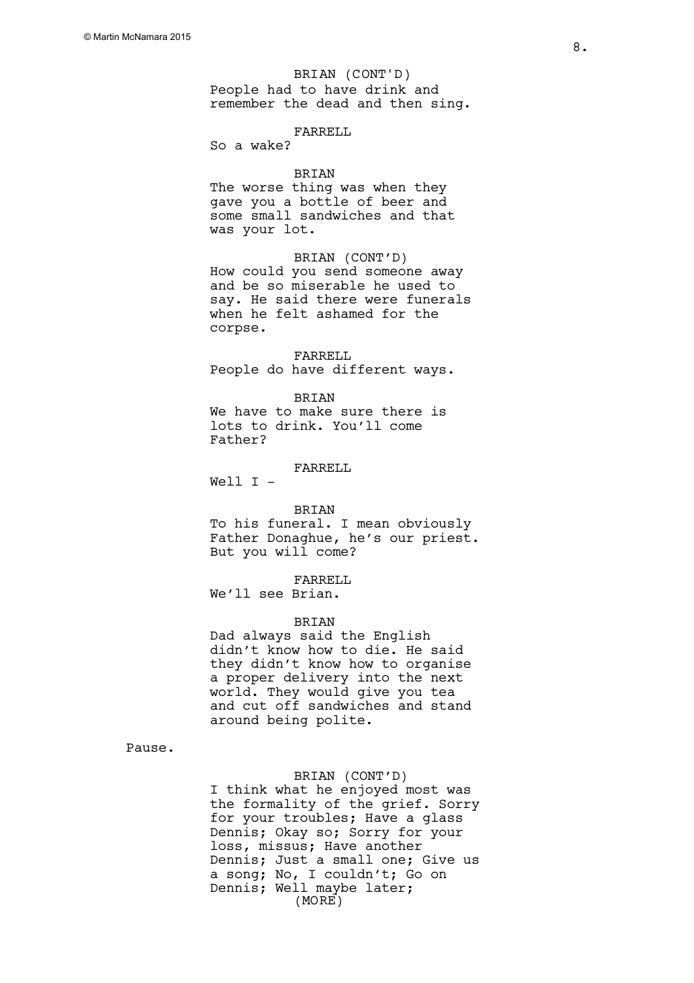BRIAN (CONT'D)

People had to have drink and remember the dead and then sing.

## FARRELL

So a wake?

# BRIAN

The worse thing was when they gave you a bottle of beer and some small sandwiches and that was your lot.

BRIAN (CONT'D) How could you send someone away and be so miserable he used to say. He said there were funerals when he felt ashamed for the corpse.

FARRELL People do have different ways.

# **BRIAN**

We have to make sure there is lots to drink. You'll come Father?

# FARRELL

Well I -

#### BRIAN

To his funeral. I mean obviously Father Donaghue, he's our priest. But you will come?

#### FARRELL

We'll see Brian.

#### BRIAN

Dad always said the English didn't know how to die. He said they didn't know how to organise a proper delivery into the next world. They would give you tea and cut off sandwiches and stand around being polite.

Pause.

#### BRIAN (CONT'D)

I think what he enjoyed most was the formality of the grief. Sorry for your troubles; Have a glass Dennis; Okay so; Sorry for your loss, missus; Have another Dennis; Just a small one; Give us a song; No, I couldn't; Go on Dennis; Well maybe later; (MORE)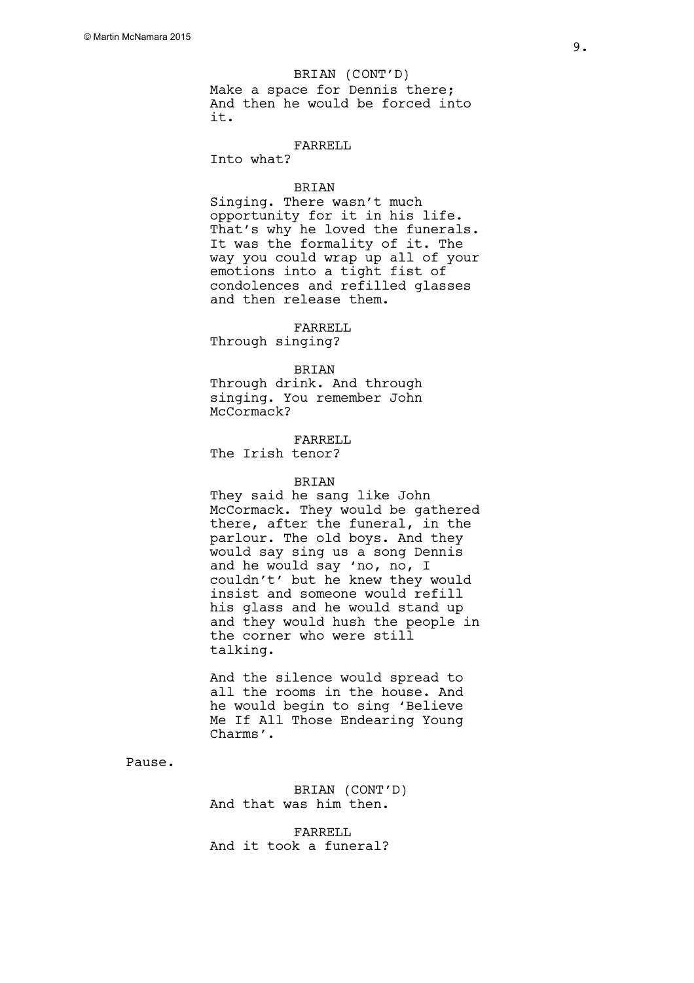#### BRIAN (CONT'D)

Make a space for Dennis there; And then he would be forced into it.

# FARRELL

Into what?

#### **BRIAN**

Singing. There wasn't much opportunity for it in his life. That's why he loved the funerals. It was the formality of it. The way you could wrap up all of your emotions into a tight fist of condolences and refilled glasses and then release them.

FARRELL

# Through singing?

BRIAN

Through drink. And through singing. You remember John McCormack?

# FARRELL

The Irish tenor?

# BRIAN

They said he sang like John McCormack. They would be gathered there, after the funeral, in the parlour. The old boys. And they would say sing us a song Dennis and he would say 'no, no, I couldn't' but he knew they would insist and someone would refill his glass and he would stand up and they would hush the people in the corner who were still talking.

And the silence would spread to all the rooms in the house. And he would begin to sing 'Believe Me If All Those Endearing Young Charms'.

Pause.

BRIAN (CONT'D) And that was him then.

FARRELL And it took a funeral?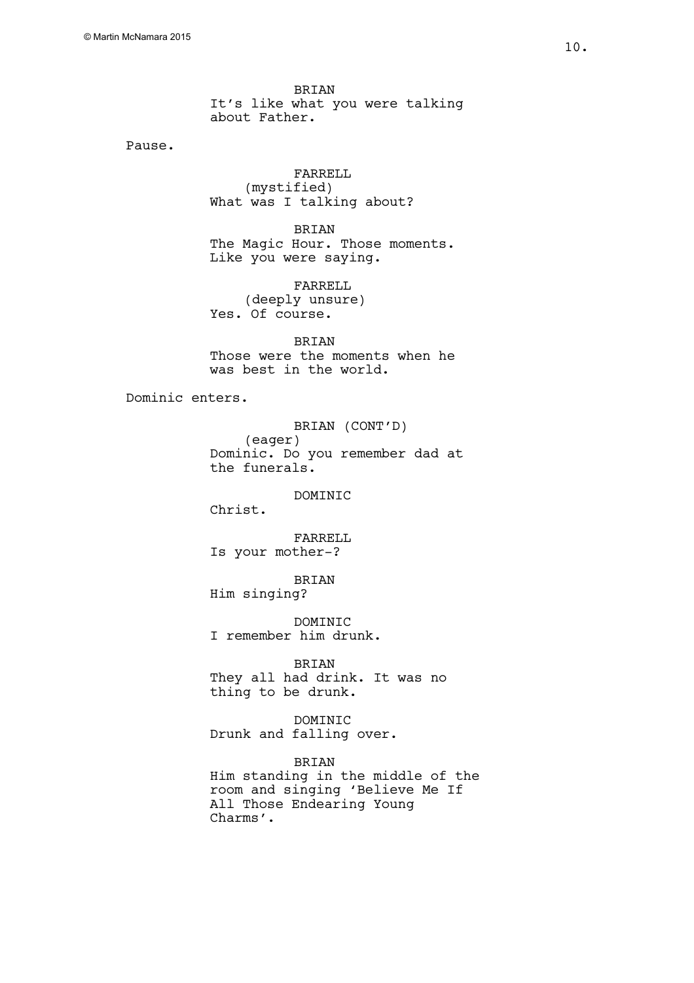BRIAN It's like what you were talking about Father.

Pause.

FARRELL (mystified) What was I talking about?

BRIAN The Magic Hour. Those moments. Like you were saying.

FARRELL (deeply unsure) Yes. Of course.

BRIAN Those were the moments when he was best in the world.

Dominic enters.

BRIAN (CONT'D) (eager) Dominic. Do you remember dad at the funerals.

**DOMINIC** 

Christ.

FARRELL Is your mother-?

BRIAN

Him singing?

**DOMINIC** I remember him drunk.

BRIAN

They all had drink. It was no thing to be drunk.

DOMINIC Drunk and falling over.

BRIAN

Him standing in the middle of the room and singing 'Believe Me If All Those Endearing Young Charms'.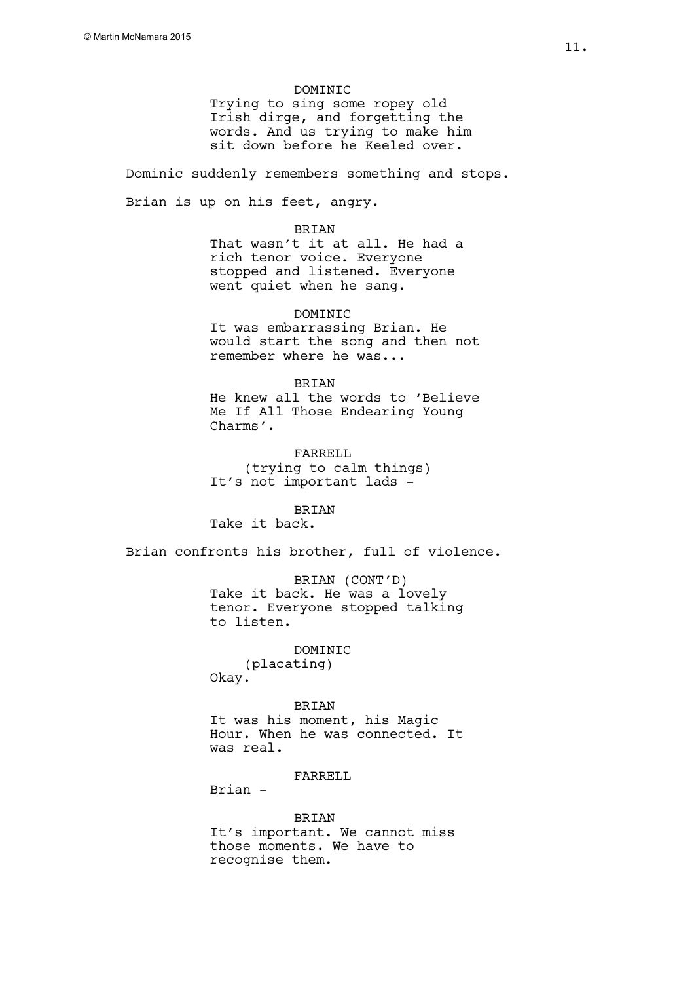#### DOMINIC

Trying to sing some ropey old Irish dirge, and forgetting the words. And us trying to make him sit down before he Keeled over.

Dominic suddenly remembers something and stops.

Brian is up on his feet, angry.

#### BRIAN

That wasn't it at all. He had a rich tenor voice. Everyone stopped and listened. Everyone went quiet when he sang.

DOMINIC It was embarrassing Brian. He would start the song and then not

remember where he was...

# BRIAN

He knew all the words to 'Believe Me If All Those Endearing Young Charms'.

FARRELL (trying to calm things) It's not important lads -

**BRIAN** Take it back.

Brian confronts his brother, full of violence.

BRIAN (CONT'D) Take it back. He was a lovely tenor. Everyone stopped talking to listen.

# DOMINIC

(placating) Okay.

# BRIAN

It was his moment, his Magic Hour. When he was connected. It was real.

# FARRELL

Brian -

#### BRIAN

It's important. We cannot miss those moments. We have to recognise them.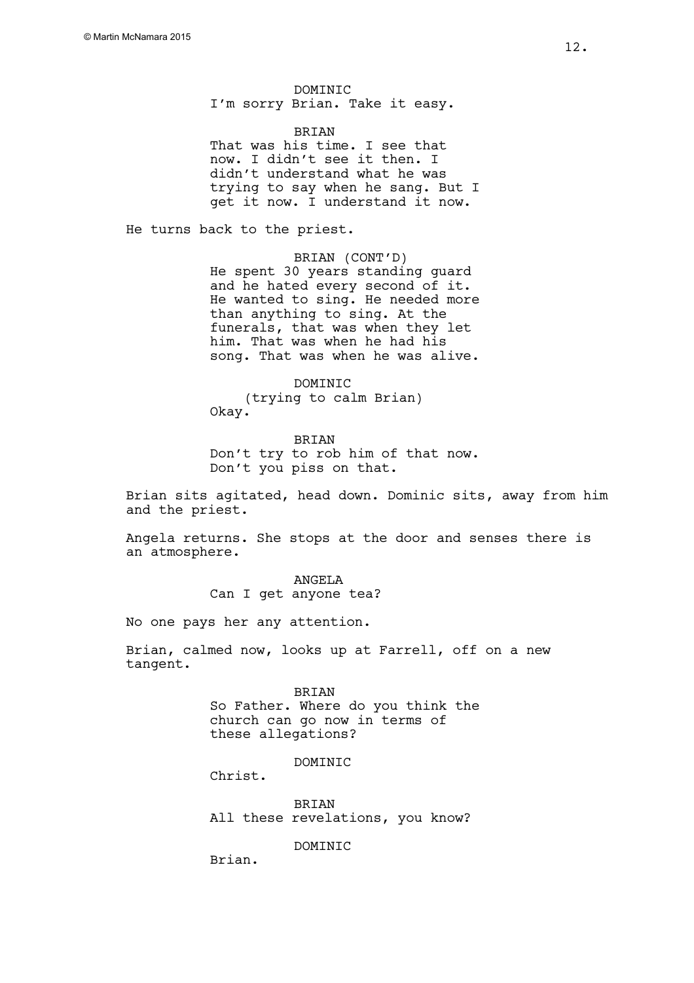DOMINIC I'm sorry Brian. Take it easy.

BRIAN That was his time. I see that now. I didn't see it then. I didn't understand what he was trying to say when he sang. But I get it now. I understand it now.

He turns back to the priest.

BRIAN (CONT'D) He spent 30 years standing guard and he hated every second of it. He wanted to sing. He needed more than anything to sing. At the funerals, that was when they let him. That was when he had his song. That was when he was alive.

#### DOMINIC

(trying to calm Brian)

Okay.

BRIAN Don't try to rob him of that now. Don't you piss on that.

Brian sits agitated, head down. Dominic sits, away from him and the priest.

Angela returns. She stops at the door and senses there is an atmosphere.

> ANGELA Can I get anyone tea?

No one pays her any attention.

Brian, calmed now, looks up at Farrell, off on a new tangent.

BRIAN

So Father. Where do you think the church can go now in terms of these allegations?

**DOMINIC** 

Christ.

BRIAN All these revelations, you know?

**DOMINIC** 

Brian.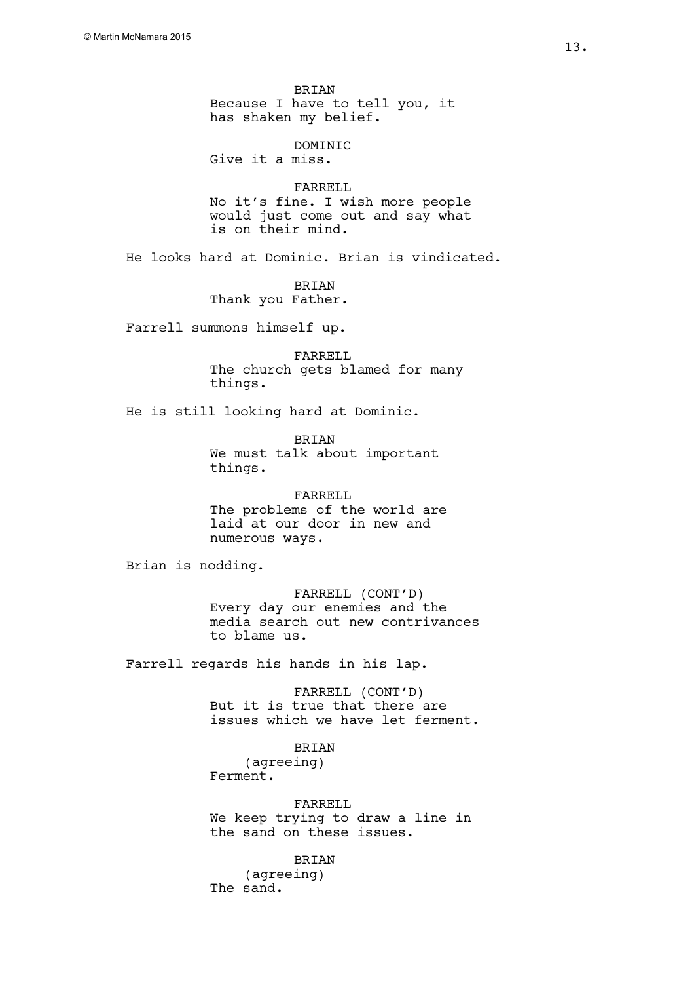**BRIAN** Because I have to tell you, it has shaken my belief.

DOMINIC Give it a miss.

FARRELL No it's fine. I wish more people would just come out and say what is on their mind.

He looks hard at Dominic. Brian is vindicated.

BRIAN Thank you Father.

Farrell summons himself up.

FARRELL The church gets blamed for many things.

He is still looking hard at Dominic.

BRIAN We must talk about important things.

FARRELL The problems of the world are laid at our door in new and numerous ways.

Brian is nodding.

FARRELL (CONT'D) Every day our enemies and the media search out new contrivances to blame us.

Farrell regards his hands in his lap.

FARRELL (CONT'D) But it is true that there are issues which we have let ferment.

BRIAN (agreeing) Ferment.

FARRELL We keep trying to draw a line in the sand on these issues.

BRIAN (agreeing) The sand.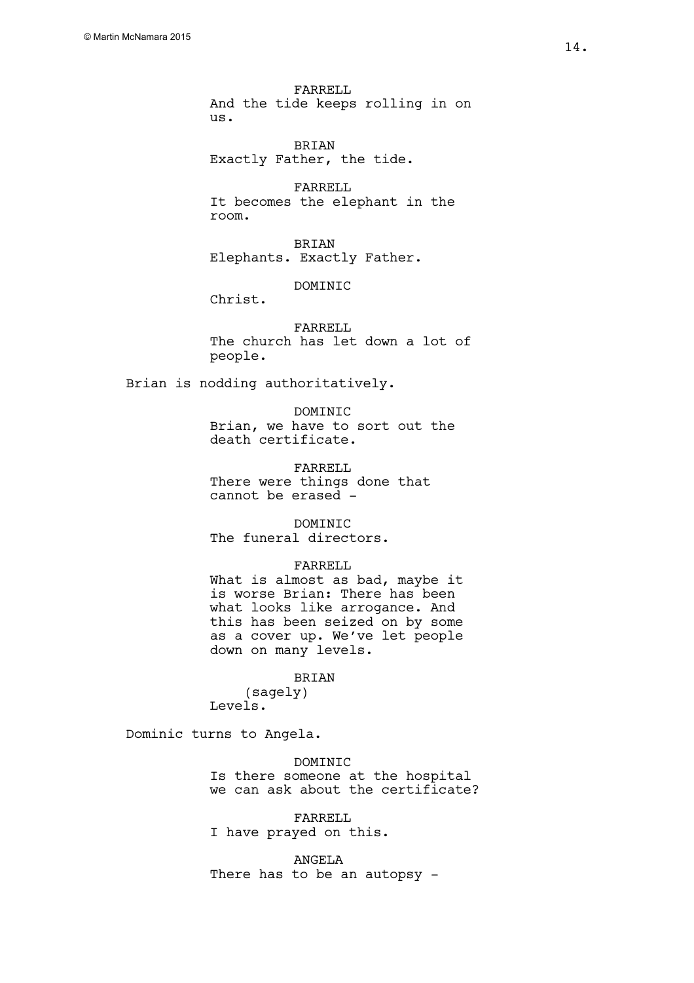FARRELL And the tide keeps rolling in on us.

BRIAN Exactly Father, the tide.

FARRELL It becomes the elephant in the room.

BRIAN Elephants. Exactly Father.

DOMINIC

Christ.

FARRELL The church has let down a lot of people.

Brian is nodding authoritatively.

DOMINIC Brian, we have to sort out the death certificate.

FARRELL There were things done that cannot be erased -

DOMINIC The funeral directors.

#### FARRELL

What is almost as bad, maybe it is worse Brian: There has been what looks like arrogance. And this has been seized on by some as a cover up. We've let people down on many levels.

# BRIAN

(sagely) Levels.

Dominic turns to Angela.

**DOMINIC** Is there someone at the hospital we can ask about the certificate?

FARRELL I have prayed on this.

ANGELA There has to be an autopsy -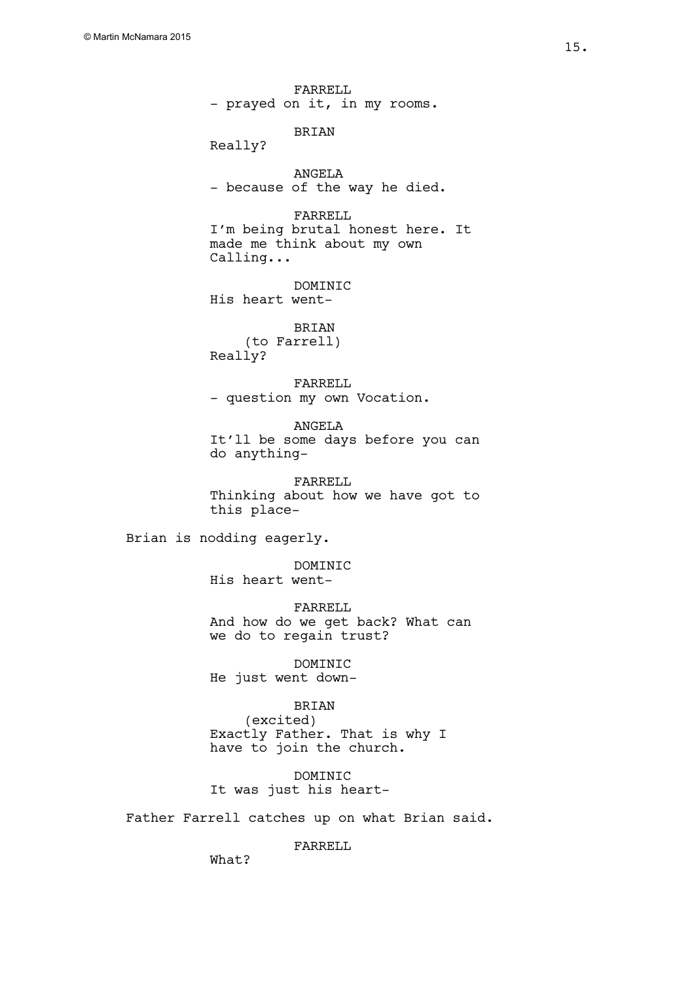FARRELL - prayed on it, in my rooms.

BRIAN

Really?

ANGELA - because of the way he died.

FARRELL I'm being brutal honest here. It made me think about my own Calling...

DOMINIC His heart went-

BRIAN (to Farrell) Really?

FARRELL - question my own Vocation.

ANGELA It'll be some days before you can do anything-

FARRELL Thinking about how we have got to this place-

Brian is nodding eagerly.

DOMINIC His heart went-

FARRELL And how do we get back? What can we do to regain trust?

DOMINIC He just went down-

# BRIAN

(excited) Exactly Father. That is why I have to join the church.

DOMINIC It was just his heart-

Father Farrell catches up on what Brian said.

FARRELL

What?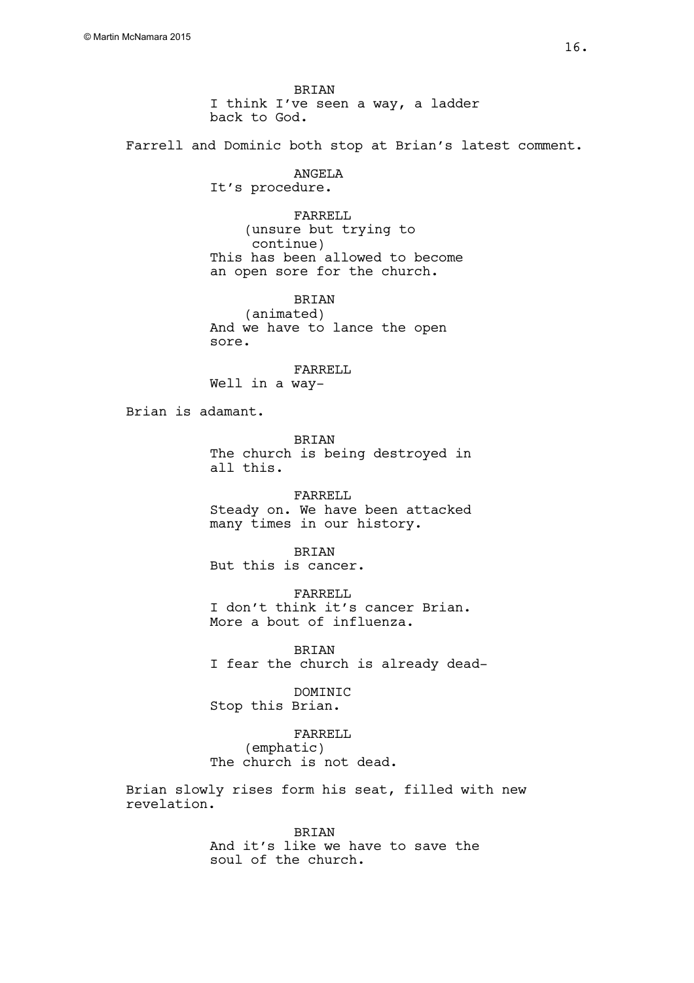BRIAN I think I've seen a way, a ladder back to God.

Farrell and Dominic both stop at Brian's latest comment.

ANGELA It's procedure.

FARRELL (unsure but trying to continue) This has been allowed to become an open sore for the church.

BRIAN (animated) And we have to lance the open sore.

FARRELL Well in a way-

Brian is adamant.

BRIAN The church is being destroyed in all this.

FARRELL Steady on. We have been attacked many times in our history.

BRIAN But this is cancer.

FARRELL I don't think it's cancer Brian. More a bout of influenza.

BRIAN I fear the church is already dead-

DOMINIC Stop this Brian.

FARRELL (emphatic) The church is not dead.

Brian slowly rises form his seat, filled with new revelation.

> **BRTAN** And it's like we have to save the soul of the church.

16.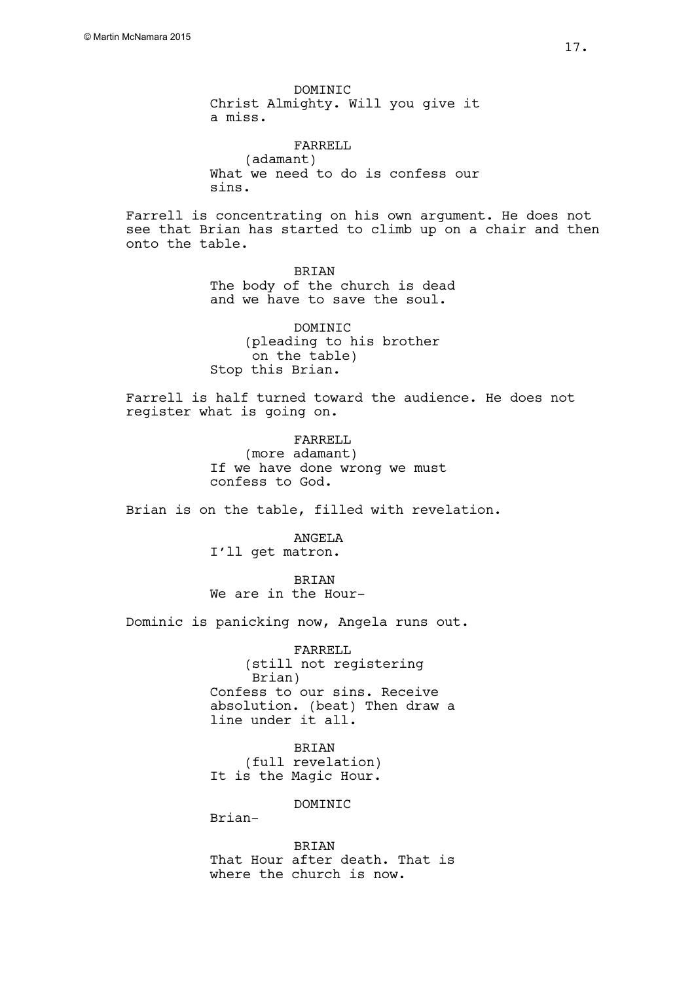DOMINIC Christ Almighty. Will you give it a miss.

FARRELL (adamant) What we need to do is confess our sins.

Farrell is concentrating on his own argument. He does not see that Brian has started to climb up on a chair and then onto the table.

> BRIAN The body of the church is dead and we have to save the soul.

DOMINIC (pleading to his brother on the table) Stop this Brian.

Farrell is half turned toward the audience. He does not register what is going on.

> FARRELL (more adamant) If we have done wrong we must confess to God.

Brian is on the table, filled with revelation.

ANGELA I'll get matron.

BRIAN We are in the Hour-

Dominic is panicking now, Angela runs out.

FARRELL (still not registering Brian) Confess to our sins. Receive absolution. (beat) Then draw a line under it all.

BRIAN (full revelation) It is the Magic Hour.

**DOMINIC** 

Brian-

BRIAN That Hour after death. That is where the church is now.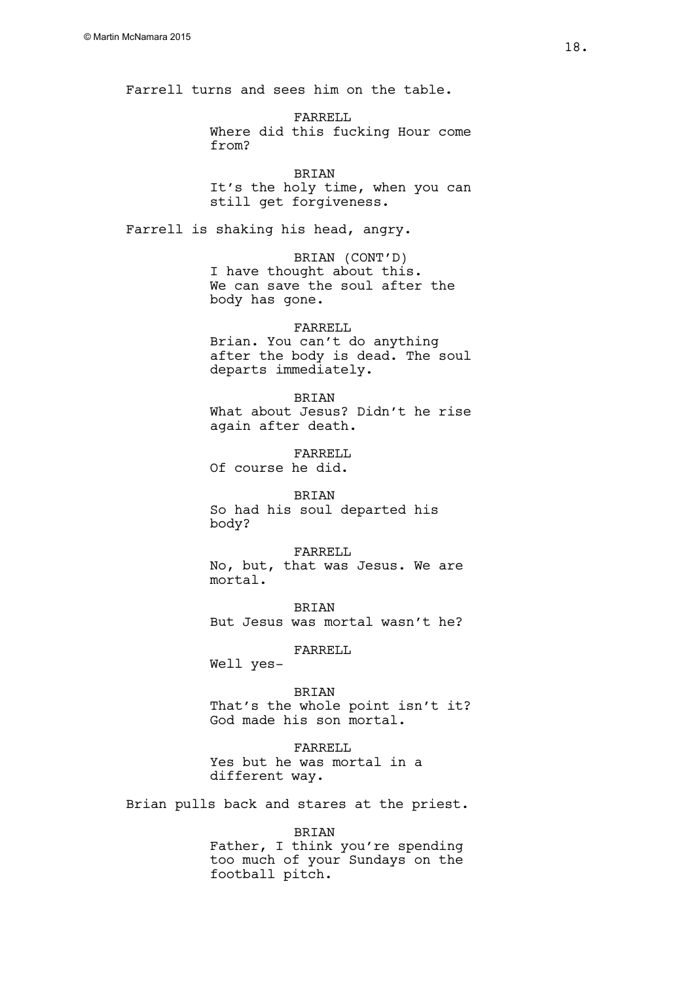Farrell turns and sees him on the table.

FARRELL Where did this fucking Hour come from?

BRIAN It's the holy time, when you can still get forgiveness.

Farrell is shaking his head, angry.

BRIAN (CONT'D) I have thought about this. We can save the soul after the body has gone.

# FARRELL

Brian. You can't do anything after the body is dead. The soul departs immediately.

**BRIAN** What about Jesus? Didn't he rise again after death.

FARRELL Of course he did.

BRIAN So had his soul departed his body?

FARRELL No, but, that was Jesus. We are mortal.

BRIAN But Jesus was mortal wasn't he?

FARRELL

Well yes-

BRIAN That's the whole point isn't it? God made his son mortal.

FARRELL Yes but he was mortal in a different way.

Brian pulls back and stares at the priest.

BRIAN

Father, I think you're spending too much of your Sundays on the football pitch.